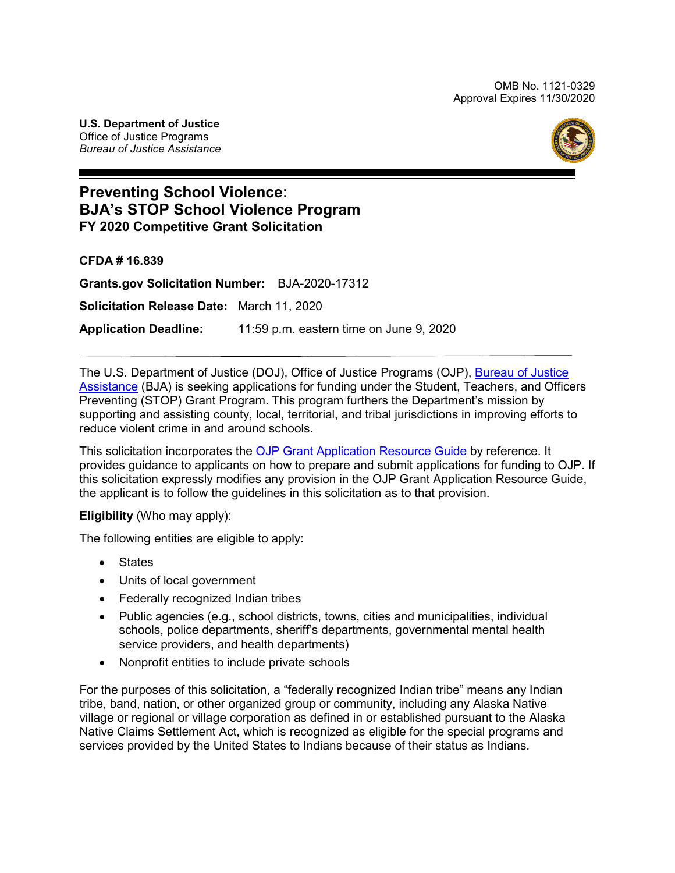OMB No. 1121-0329 Approval Expires 11/30/2020

**U.S. Department of Justice**  Office of Justice Programs *Bureau of Justice Assistance* 



# **BJA's STOP School Violence Program Preventing School Violence: FY 2020 Competitive Grant Solicitation**

**CFDA # 16.839** 

 **Application Deadline:** 11:59 p.m. eastern time on June 9, 2020 **[Grants.gov](https://Grants.gov) Solicitation Number:** BJA-2020-17312 **Solicitation Release Date:** March 11, 2020

The U.S. Department of Justice (DOJ), Office of Justice Programs (OJP), <u>Bureau of Justice</u> <u>Assistance</u> (BJA) is seeking applications for funding under the Student, Teachers, and Officers supporting and assisting county, local, territorial, and tribal jurisdictions in improving efforts to Preventing (STOP) Grant Program. This program furthers the Department's mission by reduce violent crime in and around schools.

 the applicant is to follow the guidelines in this solicitation as to that provision. This solicitation incorporates the [OJP Grant Application Resource Guide](https://www.ojp.gov/funding/Apply/Resources/Grant-App-Resource-Guide.htm) by reference. It provides guidance to applicants on how to prepare and submit applications for funding to OJP. If this solicitation expressly modifies any provision in the OJP Grant Application Resource Guide,

#### **Eligibility** (Who may apply):

The following entities are eligible to apply:

- States
- Units of local government
- Federally recognized Indian tribes
- Public agencies (e.g., school districts, towns, cities and municipalities, individual schools, police departments, sheriff's departments, governmental mental health service providers, and health departments)
- Nonprofit entities to include private schools

 For the purposes of this solicitation, a "federally recognized Indian tribe" means any Indian services provided by the United States to Indians because of their status as Indians. tribe, band, nation, or other organized group or community, including any Alaska Native village or regional or village corporation as defined in or established pursuant to the Alaska Native Claims Settlement Act, which is recognized as eligible for the special programs and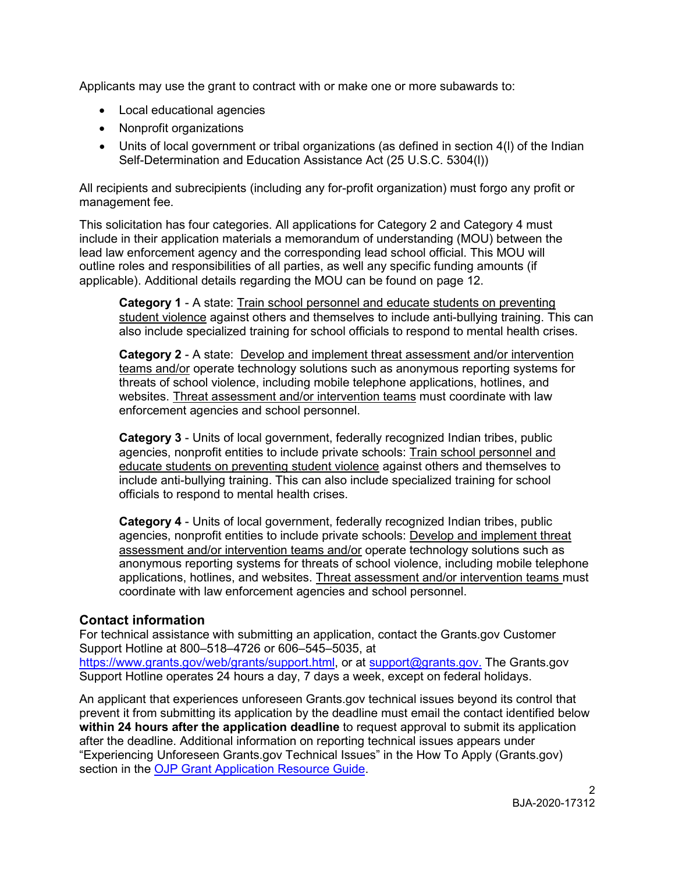Applicants may use the grant to contract with or make one or more subawards to:

- Local educational agencies
- Nonprofit organizations
- Units of local government or tribal organizations (as defined in section 4(I) of the Indian Self-Determination and Education Assistance Act (25 U.S.C. 5304(l))

 All recipients and subrecipients (including any for-profit organization) must forgo any profit or management fee.

 outline roles and responsibilities of all parties, as well any specific funding amounts (if applicable). Additional details regarding the MOU can be found on page 12. This solicitation has four categories. All applications for Category 2 and Category 4 must include in their application materials a memorandum of understanding (MOU) between the lead law enforcement agency and the corresponding lead school official. This MOU will

 **Category 1** - A state: Train school personnel and educate students on preventing student violence against others and themselves to include anti-bullying training. This can also include specialized training for school officials to respond to mental health crises.

 **Category 2** - A state: Develop and implement threat assessment and/or intervention teams and/or operate technology solutions such as anonymous reporting systems for threats of school violence, including mobile telephone applications, hotlines, and websites. Threat assessment and/or intervention teams must coordinate with law enforcement agencies and school personnel.

 **Category 3** - Units of local government, federally recognized Indian tribes, public include anti-bullying training. This can also include specialized training for school officials to respond to mental health crises. agencies, nonprofit entities to include private schools: Train school personnel and educate students on preventing student violence against others and themselves to

 **Category 4** - Units of local government, federally recognized Indian tribes, public agencies, nonprofit entities to include private schools: <u>Develop and implement threat</u> assessment and/or intervention teams and/or operate technology solutions such as anonymous reporting systems for threats of school violence, including mobile telephone applications, hotlines, and websites. Threat assessment and/or intervention teams must coordinate with law enforcement agencies and school personnel.

# **Contact information**

 Support Hotline at 800–518–4726 or 606–545–5035, at  [https://www.grants.gov/web/grants/support.html,](https://www.grants.gov/web/grants/support.html) or at [support@grants.gov.](mailto:support@grants.gov) The [Grants.gov](https://Grants.gov) For technical assistance with submitting an application, contact the [Grants.gov](https://Grants.gov) Customer Support Hotline operates 24 hours a day, 7 days a week, except on federal holidays.

 An applicant that experiences unforeseen [Grants.gov](https://Grants.gov) technical issues beyond its control that prevent it from submitting its application by the deadline must email the contact identified below **within 24 hours after the application deadline** to request approval to submit its application after the deadline. Additional information on reporting technical issues appears under "Experiencing Unforeseen [Grants.gov](https://Grants.gov) Technical Issues" in the How To Apply ([Grants.gov\)](https://Grants.gov) section in the [OJP Grant Application Resource Guide.](https://www.ojp.gov/funding/Apply/Resources/Grant-App-Resource-Guide.htm#howToApply)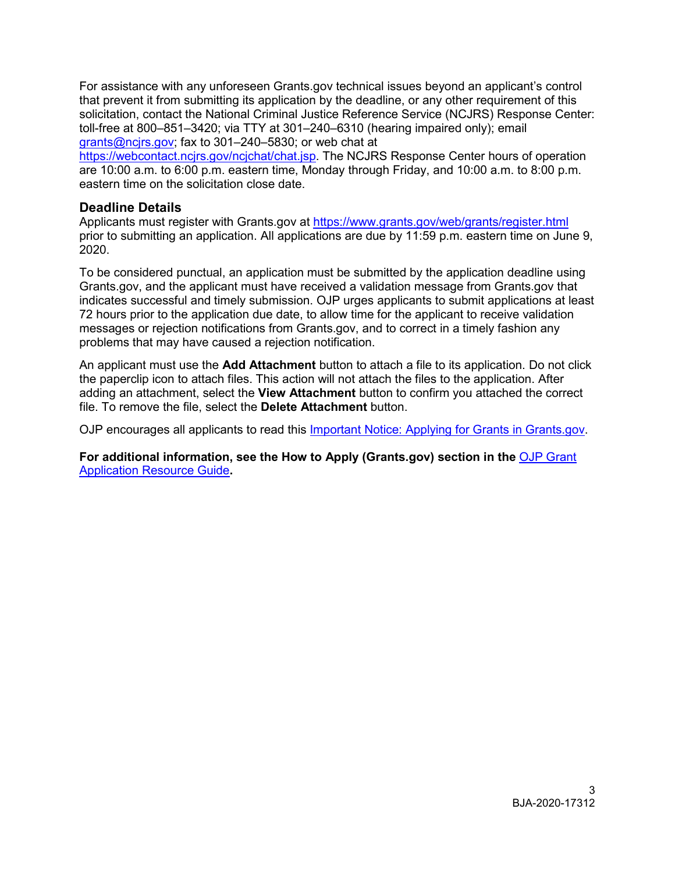For assistance with any unforeseen [Grants.gov](https://Grants.gov) technical issues beyond an applicant's control that prevent it from submitting its application by the deadline, or any other requirement of this solicitation, contact the National Criminal Justice Reference Service (NCJRS) Response Center: toll-free at 800–851–3420; via TTY at 301–240–6310 (hearing impaired only); email [grants@ncjrs.gov;](mailto:grants@ncjrs.gov) fax to 301–240–5830; or web chat at

[https://webcontact.ncjrs.gov/ncjchat/chat.jsp.](https://webcontact.ncjrs.gov/ncjchat/chat.jsp) The NCJRS Response Center hours of operation are 10:00 a.m. to 6:00 p.m. eastern time, Monday through Friday, and 10:00 a.m. to 8:00 p.m. eastern time on the solicitation close date.

# **Deadline Details**

Applicants must register with [Grants.gov](https://Grants.gov) at<https://www.grants.gov/web/grants/register.html> prior to submitting an application. All applications are due by 11:59 p.m. eastern time on June 9, 2020.

 [Grants.gov,](https://Grants.gov) and the applicant must have received a validation message from [Grants.gov](https://Grants.gov) that 72 hours prior to the application due date, to allow time for the applicant to receive validation messages or rejection notifications from [Grants.gov,](https://Grants.gov) and to correct in a timely fashion any To be considered punctual, an application must be submitted by the application deadline using indicates successful and timely submission. OJP urges applicants to submit applications at least problems that may have caused a rejection notification.

 the paperclip icon to attach files. This action will not attach the files to the application. After file. To remove the file, select the **Delete Attachment** button. An applicant must use the **Add Attachment** button to attach a file to its application. Do not click adding an attachment, select the **View Attachment** button to confirm you attached the correct

OJP encourages all applicants to read this <u>Important Notice: Applying for Grants in Grants.gov</u>.

**For additional information, see the How to Apply [\(Grants.gov](https://Grants.gov)) section in the** [OJP Grant](https://www.ojp.gov/funding/Apply/Resources/Grant-App-Resource-Guide.htm#howToApply)  [Application Resource Guide](https://www.ojp.gov/funding/Apply/Resources/Grant-App-Resource-Guide.htm#howToApply)**.**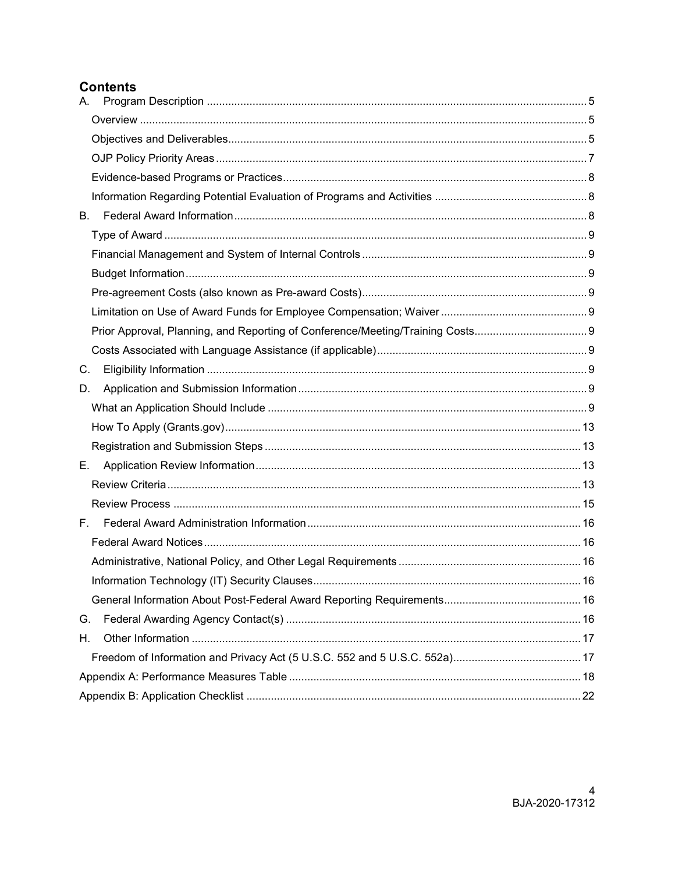# **Contents**

| А. |  |
|----|--|
|    |  |
|    |  |
|    |  |
|    |  |
|    |  |
| В. |  |
|    |  |
|    |  |
|    |  |
|    |  |
|    |  |
|    |  |
|    |  |
| C. |  |
| D. |  |
|    |  |
|    |  |
|    |  |
| Е. |  |
|    |  |
|    |  |
| F. |  |
|    |  |
|    |  |
|    |  |
|    |  |
| G. |  |
| Η. |  |
|    |  |
|    |  |
|    |  |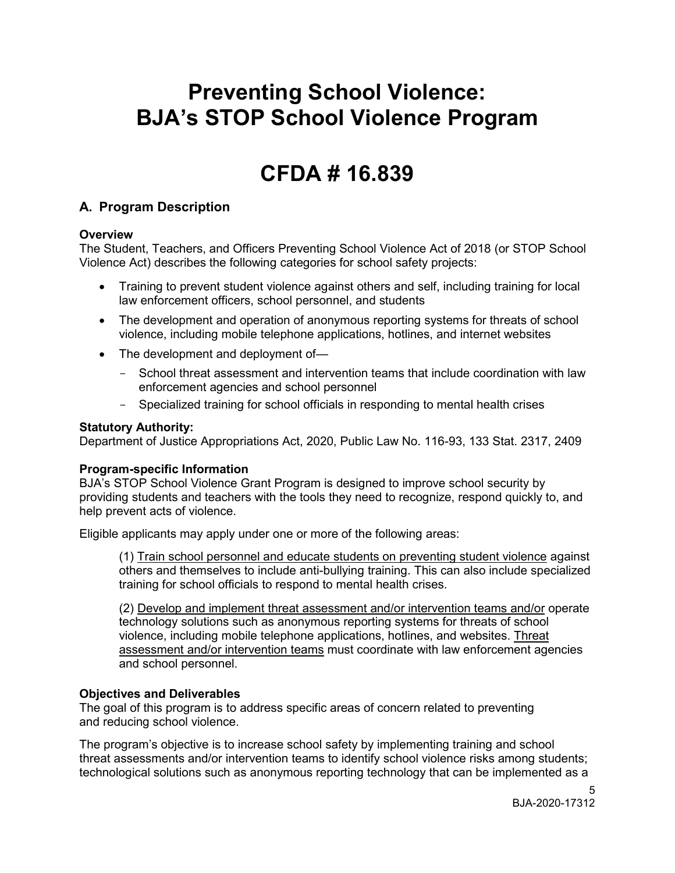# **BJA's STOP School Violence Program Preventing School Violence:**

# **CFDA # 16.839**

# <span id="page-4-0"></span>**A. Program Description**

#### <span id="page-4-1"></span>**Overview**

 The Student, Teachers, and Officers Preventing School Violence Act of 2018 (or STOP School Violence Act) describes the following categories for school safety projects:

- • Training to prevent student violence against others and self, including training for local law enforcement officers, school personnel, and students
- • The development and operation of anonymous reporting systems for threats of school violence, including mobile telephone applications, hotlines, and internet websites
- The development and deployment of-
	- School threat assessment and intervention teams that include coordination with law enforcement agencies and school personnel
	- Specialized training for school officials in responding to mental health crises

#### **Statutory Authority:**

Department of Justice Appropriations Act, 2020, Public Law No. 116-93, 133 Stat. 2317, 2409

#### **Program-specific Information**

BJA's STOP School Violence Grant Program is designed to improve school security by providing students and teachers with the tools they need to recognize, respond quickly to, and help prevent acts of violence.

Eligible applicants may apply under one or more of the following areas:

 (1) Train school personnel and educate students on preventing student violence against others and themselves to include anti-bullying training. This can also include specialized training for school officials to respond to mental health crises.

<span id="page-4-3"></span> (2) Develop and implement threat assessment and/or intervention teams and/or operate technology solutions such as anonymous reporting systems for threats of school violence, including mobile telephone applications, hotlines, and websites. Threat assessment and/or intervention teams must coordinate with law enforcement agencies and school personnel.

#### <span id="page-4-2"></span>**Objectives and Deliverables**

The goal of this program is to address specific areas of concern related to preventing and reducing school violence.

The program's objective is to increase school safety by implementing training and school threat assessments and/or intervention teams to identify school violence risks among students; technological solutions such as anonymous reporting technology that can be implemented as a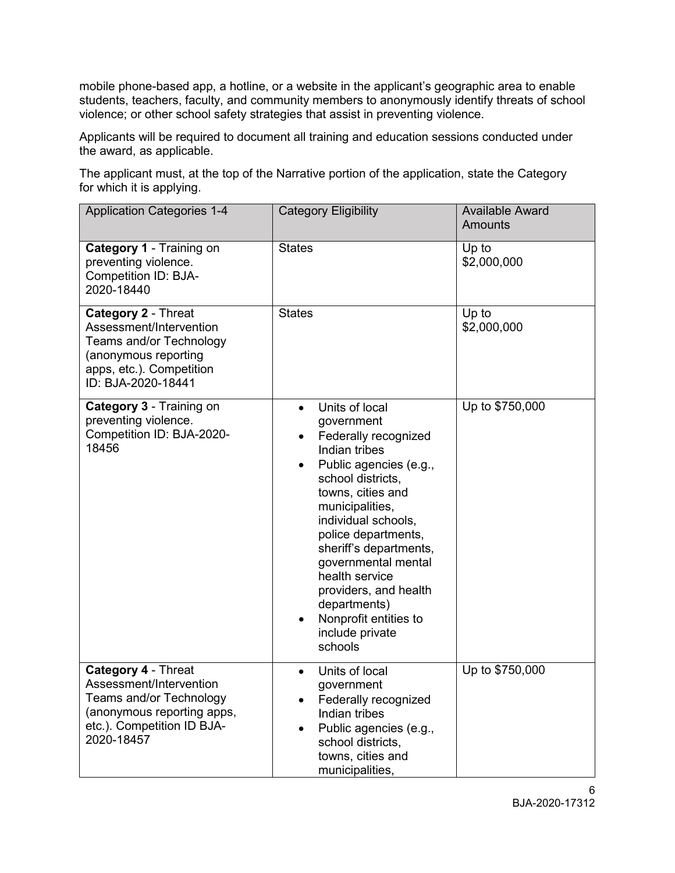students, teachers, faculty, and community members to anonymously identify threats of school violence; or other school safety strategies that assist in preventing violence. mobile phone-based app, a hotline, or a website in the applicant's geographic area to enable

Applicants will be required to document all training and education sessions conducted under the award, as applicable.

 for which it is applying. The applicant must, at the top of the Narrative portion of the application, state the Category

| <b>Application Categories 1-4</b>                                                                                                                          | <b>Category Eligibility</b>                                                                                                                                                                                                                                                                                                                                                                | <b>Available Award</b><br><b>Amounts</b> |
|------------------------------------------------------------------------------------------------------------------------------------------------------------|--------------------------------------------------------------------------------------------------------------------------------------------------------------------------------------------------------------------------------------------------------------------------------------------------------------------------------------------------------------------------------------------|------------------------------------------|
| Category 1 - Training on<br>preventing violence.<br><b>Competition ID: BJA-</b><br>2020-18440                                                              | <b>States</b>                                                                                                                                                                                                                                                                                                                                                                              | Up to<br>\$2,000,000                     |
| Category 2 - Threat<br>Assessment/Intervention<br>Teams and/or Technology<br>(anonymous reporting<br>apps, etc.). Competition<br>ID: BJA-2020-18441        | <b>States</b>                                                                                                                                                                                                                                                                                                                                                                              | Up to<br>\$2,000,000                     |
| Category 3 - Training on<br>preventing violence.<br>Competition ID: BJA-2020-<br>18456                                                                     | Units of local<br>$\bullet$<br>government<br>Federally recognized<br>Indian tribes<br>Public agencies (e.g.,<br>school districts,<br>towns, cities and<br>municipalities,<br>individual schools,<br>police departments,<br>sheriff's departments,<br>governmental mental<br>health service<br>providers, and health<br>departments)<br>Nonprofit entities to<br>include private<br>schools | Up to \$750,000                          |
| Category 4 - Threat<br>Assessment/Intervention<br><b>Teams and/or Technology</b><br>(anonymous reporting apps,<br>etc.). Competition ID BJA-<br>2020-18457 | Units of local<br>$\bullet$<br>government<br>Federally recognized<br>Indian tribes<br>Public agencies (e.g.,<br>school districts,<br>towns, cities and<br>municipalities,                                                                                                                                                                                                                  | Up to \$750,000                          |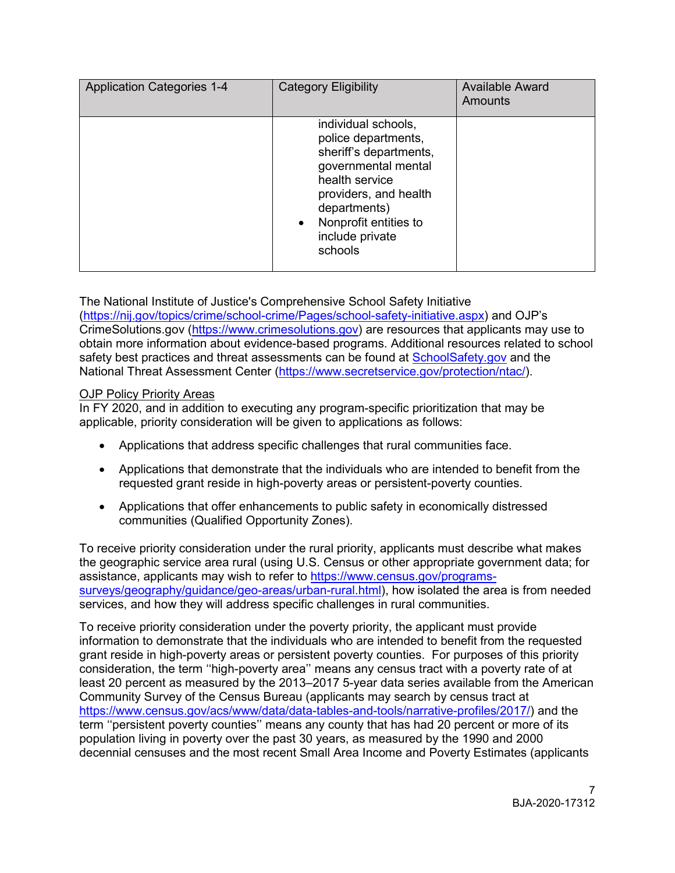| <b>Application Categories 1-4</b> | <b>Category Eligibility</b>                                                                                                                                                                                                | <b>Available Award</b><br>Amounts |
|-----------------------------------|----------------------------------------------------------------------------------------------------------------------------------------------------------------------------------------------------------------------------|-----------------------------------|
|                                   | individual schools,<br>police departments,<br>sheriff's departments,<br>governmental mental<br>health service<br>providers, and health<br>departments)<br>Nonprofit entities to<br>$\bullet$<br>include private<br>schools |                                   |

 [\(https://nij.gov/topics/crime/school-crime/Pages/school-safety-initiative.aspx\)](https://nij.gov/topics/crime/school-crime/Pages/school-safety-initiative.aspx) and OJP's safety best practices and threat assessments can be found at <u>SchoolSafety.gov</u> and the The National Institute of Justice's Comprehensive School Safety Initiative [CrimeSolutions.gov](https://CrimeSolutions.gov) (https://www[.crimesolutions.](https://www.crimesolutions.gov/)gov) are resources that applicants may use to obtain more information about evidence-based programs. Additional resources related to school National Threat Assessment Center [\(https://www.secretservice.gov/protection/ntac/\)](https://www.secretservice.gov/protection/ntac/).

#### <span id="page-6-0"></span>OJP Policy Priority Areas

In FY 2020, and in addition to executing any program-specific prioritization that may be applicable, priority consideration will be given to applications as follows:

- Applications that address specific challenges that rural communities face.
- • Applications that demonstrate that the individuals who are intended to benefit from the requested grant reside in high-poverty areas or persistent-poverty counties.
- Applications that offer enhancements to public safety in economically distressed communities (Qualified Opportunity Zones).

 To receive priority consideration under the rural priority, applicants must describe what makes the geographic service area rural (using U.S. Census or other appropriate government data; for assistance, applicants may wish to refer to [https://www.census.gov/programs](https://www.census.gov/programs-surveys/geography/guidance/geo-areas/urban-rural.html)[surveys/geography/guidance/geo-areas/urban-rural.html\)](https://www.census.gov/programs-surveys/geography/guidance/geo-areas/urban-rural.html), how isolated the area is from needed services, and how they will address specific challenges in rural communities.

 information to demonstrate that the individuals who are intended to benefit from the requested grant reside in high-poverty areas or persistent poverty counties. For purposes of this priority term ''persistent poverty counties'' means any county that has had 20 percent or more of its decennial censuses and the most recent Small Area Income and Poverty Estimates (applicants To receive priority consideration under the poverty priority, the applicant must provide consideration, the term ''high-poverty area'' means any census tract with a poverty rate of at least 20 percent as measured by the 2013–2017 5-year data series available from the American Community Survey of the Census Bureau (applicants may search by census tract at [https://www.census.gov/acs/www/data/data-tables-and-tools/narrative-profiles/2017/\)](https://www.census.gov/acs/www/data/data-tables-and-tools/narrative-profiles/2017/) and the population living in poverty over the past 30 years, as measured by the 1990 and 2000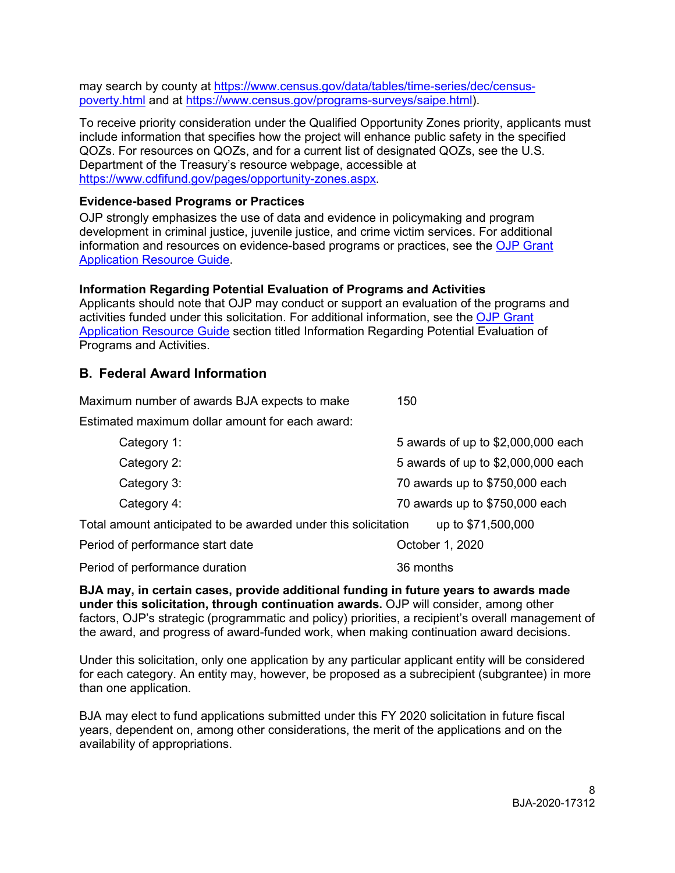may search by county at [https://www.census.gov/data/tables/time-series/dec/census](https://www.census.gov/data/tables/time-series/dec/census-poverty.html)[poverty.html](https://www.census.gov/data/tables/time-series/dec/census-poverty.html) and at [https://www.census.gov/programs-surveys/saipe.html\)](https://www.census.gov/programs-surveys/saipe.html).

 include information that specifies how the project will enhance public safety in the specified QOZs. For resources on QOZs, and for a current list of designated QOZs, see the U.S. To receive priority consideration under the Qualified Opportunity Zones priority, applicants must Department of the Treasury's resource webpage, accessible at [https://www.cdfifund.gov/pages/opportunity-zones.aspx.](https://www.cdfifund.gov/pages/opportunity-zones.aspx)

#### <span id="page-7-0"></span>**Evidence-based Programs or Practices**

OJP strongly emphasizes the use of data and evidence in policymaking and program development in criminal justice, juvenile justice, and crime victim services. For additional information and resources on evidence-based programs or practices, see the [OJP Grant](https://www.ojp.gov/funding/Apply/Resources/Grant-App-Resource-Guide.htm#evidenceBased)  [Application Resource Guide.](https://www.ojp.gov/funding/Apply/Resources/Grant-App-Resource-Guide.htm#evidenceBased)

#### <span id="page-7-1"></span>**Information Regarding Potential Evaluation of Programs and Activities**

 Applicants should note that OJP may conduct or support an evaluation of the programs and activities funded under this solicitation. For additional information, see the [OJP Grant](https://www.ojp.gov/funding/Apply/Resources/Grant-App-Resource-Guide.htm#potentialEvaluation)  [Application Resource Guide](https://www.ojp.gov/funding/Apply/Resources/Grant-App-Resource-Guide.htm#potentialEvaluation) section titled Information Regarding Potential Evaluation of Programs and Activities.

#### <span id="page-7-2"></span>**B. Federal Award Information**

Maximum number of awards BJA expects to make 150

Estimated maximum dollar amount for each award:

| Category 1:                                                                          | 5 awards of up to \$2,000,000 each |  |
|--------------------------------------------------------------------------------------|------------------------------------|--|
| Category 2:                                                                          | 5 awards of up to \$2,000,000 each |  |
| Category 3:                                                                          | 70 awards up to \$750,000 each     |  |
| Category 4:                                                                          | 70 awards up to \$750,000 each     |  |
| Total amount anticipated to be awarded under this solicitation<br>up to \$71,500,000 |                                    |  |
| Period of performance start date                                                     | October 1, 2020                    |  |
| Period of performance duration                                                       | 36 months                          |  |

**BJA may, in certain cases, provide additional funding in future years to awards made under this solicitation, through continuation awards.** OJP will consider, among other factors, OJP's strategic (programmatic and policy) priorities, a recipient's overall management of the award, and progress of award-funded work, when making continuation award decisions.

Under this solicitation, only one application by any particular applicant entity will be considered for each category. An entity may, however, be proposed as a subrecipient (subgrantee) in more than one application.

 BJA may elect to fund applications submitted under this FY 2020 solicitation in future fiscal years, dependent on, among other considerations, the merit of the applications and on the availability of appropriations.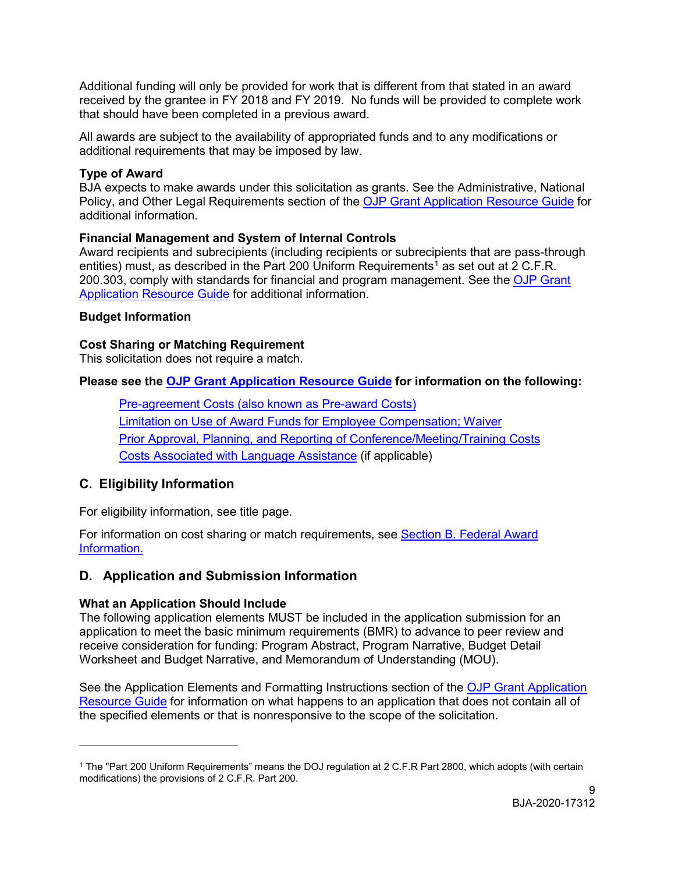Additional funding will only be provided for work that is different from that stated in an award received by the grantee in FY 2018 and FY 2019. No funds will be provided to complete work that should have been completed in a previous award.

All awards are subject to the availability of appropriated funds and to any modifications or additional requirements that may be imposed by law.

# <span id="page-8-0"></span>**Type of Award**

 BJA expects to make awards under this solicitation as grants. See the Administrative, National Policy, and Other Legal Requirements section of the <u>OJP Grant Application Resource Guide</u> for additional information.

# <span id="page-8-1"></span> **Financial Management and System of Internal Controls**

entities) must, as described in the Part 200 Uniform Requirements<sup>[1](#page-8-10)</sup> as set out at 2 C.F.R. 200.303, comply with standards for financial and program management. See the <u>OJP Grant</u> [Application Resource Guide](https://www.ojp.gov/funding/Apply/Resources/Grant-App-Resource-Guide.htm#financialManagement) for additional information. Award recipients and subrecipients (including recipients or subrecipients that are pass-through

# <span id="page-8-2"></span>**Budget Information**

# **Cost Sharing or Matching Requirement**

This solicitation does not require a match.

# **Please see the [OJP Grant Application Resource Guide](https://ojp.gov/funding/Apply/Resources/Grant-App-Resource-Guide.htm) for information on the following:**

<span id="page-8-5"></span><span id="page-8-4"></span><span id="page-8-3"></span>[Pre-agreement Costs \(also known as Pre-award Costs\)](https://www.ojp.gov/funding/Apply/Resources/Grant-App-Resource-Guide.htm#pre-agreement)  [Limitation on Use of Award Funds for Employee Compensation; Waiver](https://www.ojp.gov/funding/Apply/Resources/Grant-App-Resource-Guide.htm#UseOfAwardFunds)  [Prior Approval, Planning, and Reporting of Conference/Meeting/Training Costs](https://www.ojp.gov/funding/Apply/Resources/Grant-App-Resource-Guide.htm#reportingCosts)  [Costs Associated with Language Assistance](https://www.ojp.gov/funding/Apply/Resources/Grant-App-Resource-Guide.htm#languageAssistance) (if applicable)

# <span id="page-8-7"></span><span id="page-8-6"></span>**C. Eligibility Information**

 $\overline{a}$ 

For eligibility information, see title page.

For information on cost sharing or match requirements, see [Section B. Federal Award](#page-7-2)  [Information.](#page-7-2) 

# <span id="page-8-8"></span> **D. Application and Submission Information**

# <span id="page-8-9"></span>**What an Application Should Include**

The following application elements MUST be included in the application submission for an application to meet the basic minimum requirements (BMR) to advance to peer review and receive consideration for funding: Program Abstract, Program Narrative, Budget Detail Worksheet and Budget Narrative, and Memorandum of Understanding (MOU).

See the Application Elements and Formatting Instructions section of the OJP Grant Application [Resource Guide](https://www.ojp.gov/funding/Apply/Resources/Grant-App-Resource-Guide.htm#formatInstructions) for information on what happens to an application that does not contain all of the specified elements or that is nonresponsive to the scope of the solicitation*.* 

<span id="page-8-10"></span><sup>1</sup> The "Part 200 Uniform Requirements" means the DOJ regulation at 2 C.F.R Part 2800, which adopts (with certain modifications) the provisions of 2 C.F.R. Part 200.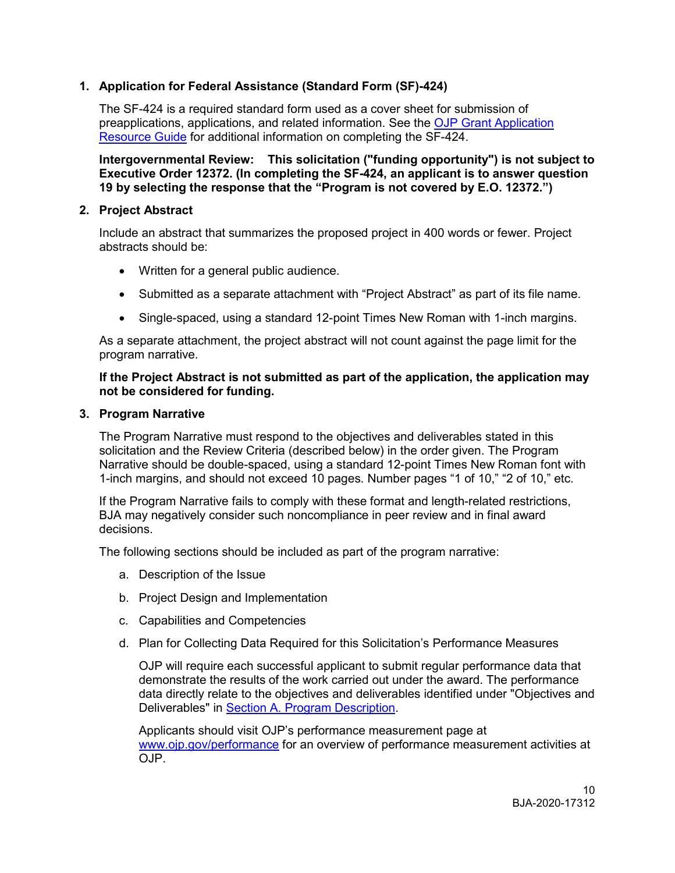# **1. Application for Federal Assistance (Standard Form (SF)-424)**

The SF-424 is a required standard form used as a cover sheet for submission of preapplications, applications, and related information. See the [OJP Grant Application](https://www.ojp.gov/funding/Apply/Resources/Grant-App-Resource-Guide.htm#completeApplication)  [Resource Guide](https://www.ojp.gov/funding/Apply/Resources/Grant-App-Resource-Guide.htm#completeApplication) for additional information on completing the SF-424.

 **Intergovernmental Review: This solicitation ("funding opportunity") is not subject to Executive Order 12372. (In completing the SF-424, an applicant is to answer question 19 by selecting the response that the "Program is not covered by E.O. 12372.")** 

#### **2. Project Abstract**

Include an abstract that summarizes the proposed project in 400 words or fewer. Project abstracts should be:

- Written for a general public audience.
- Submitted as a separate attachment with "Project Abstract" as part of its file name.
- Single-spaced, using a standard 12-point Times New Roman with 1-inch margins.

 As a separate attachment, the project abstract will not count against the page limit for the program narrative.

#### **If the Project Abstract is not submitted as part of the application, the application may not be considered for funding.**

#### **3. Program Narrative**

 solicitation and the Review Criteria (described below) in the order given. The Program The Program Narrative must respond to the objectives and deliverables stated in this Narrative should be double-spaced, using a standard 12-point Times New Roman font with 1-inch margins, and should not exceed 10 pages. Number pages "1 of 10," "2 of 10," etc.

If the Program Narrative fails to comply with these format and length-related restrictions, BJA may negatively consider such noncompliance in peer review and in final award decisions.

The following sections should be included as part of the program narrative:

- a. Description of the Issue
- b. Project Design and Implementation
- c. Capabilities and Competencies
- d. Plan for Collecting Data Required for this Solicitation's Performance Measures

 OJP will require each successful applicant to submit regular performance data that demonstrate the results of the work carried out under the award. The performance data directly relate to the objectives and deliverables identified under "Objectives and Deliverables" in [Section A. Program Description.](#page-4-3)

Applicants should visit OJP's performance measurement page at [www.ojp.gov/performance](https://www.ojp.gov/performance) for an overview of performance measurement activities at OJP.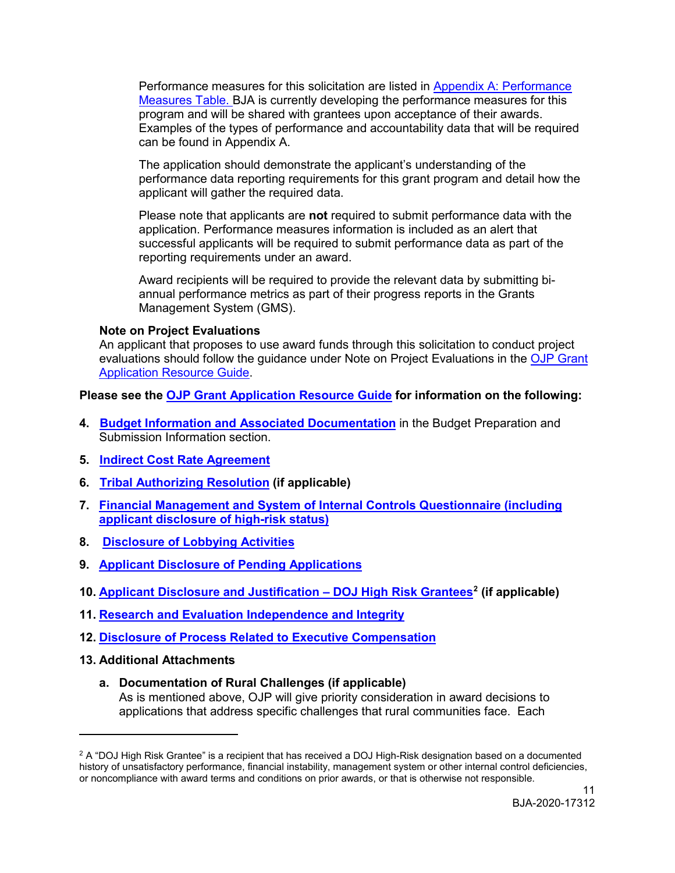[Measures Table. BJA is currently developing the performance measures for this](#page-17-0)  Performance measures for this solicitation are listed in [Appendix A: Performance](#page-17-0)  [program and will be shared with grantees upon acceptance of their awards.](https://ojpnet.ojp.usdoj.gov/bureaus_offices/BJA/TeamSites/SolicitationInfoSite/FY%202020%20Solicitations/FY20%20STOP%20Mental%20Health,%20Technology%20and%20Threat%20Assessement%20Solutions%20for%20Safer%20Schools%20Solicitation.docx#_Appendix_X:_Performance)  [Examples of the types of performance and accountability data that will be required](https://ojpnet.ojp.usdoj.gov/bureaus_offices/BJA/TeamSites/SolicitationInfoSite/FY%202020%20Solicitations/FY20%20STOP%20Mental%20Health,%20Technology%20and%20Threat%20Assessement%20Solutions%20for%20Safer%20Schools%20Solicitation.docx#_Appendix_X:_Performance)  [can be found in Appendix A.](https://ojpnet.ojp.usdoj.gov/bureaus_offices/BJA/TeamSites/SolicitationInfoSite/FY%202020%20Solicitations/FY20%20STOP%20Mental%20Health,%20Technology%20and%20Threat%20Assessement%20Solutions%20for%20Safer%20Schools%20Solicitation.docx#_Appendix_X:_Performance) 

 performance data reporting requirements for this grant program and detail how the The application should demonstrate the applicant's understanding of the applicant will gather the required data.

 application. Performance measures information is included as an alert that Please note that applicants are **not** required to submit performance data with the successful applicants will be required to submit performance data as part of the reporting requirements under an award.

 Management System (GMS). Award recipients will be required to provide the relevant data by submitting biannual performance metrics as part of their progress reports in the Grants

#### **Note on Project Evaluations**

An applicant that proposes to use award funds through this solicitation to conduct project evaluations should follow the guidance under Note on Project Evaluations in the OJP Grant [Application Resource Guide.](https://www.ojp.gov/funding/Apply/Resources/Grant-App-Resource-Guide.htm#projectEvaluation)

**Please see the [OJP Grant Application Resource Guide](https://ojp.gov/funding/Apply/Resources/Grant-App-Resource-Guide.htm) for information on the following:** 

- **4. [Budget Information and Associated Documentation](https://www.ojp.gov/funding/Apply/Resources/Grant-App-Resource-Guide.htm#budgetInfo)** in the Budget Preparation and Submission Information section.
- **5. [Indirect Cost Rate Agreement](https://www.ojp.gov/funding/Apply/Resources/Grant-App-Resource-Guide.htm#indirectCosts)**
- **6. [Tribal Authorizing Resolution](https://www.ojp.gov/funding/Apply/Resources/Grant-App-Resource-Guide.htm#tribalAuthorizing) (if applicable)**
- **[7. Financial Management and System of Internal Controls Questionnaire \(including](https://www.ojp.gov/funding/Apply/Resources/Grant-App-Resource-Guide.htm#internalControlsQuestionnaire)  [applicant disclosure of high-risk status\)](https://www.ojp.gov/funding/Apply/Resources/Grant-App-Resource-Guide.htm#internalControlsQuestionnaire)**
- **8. [Disclosure of Lobbying Activities](https://www.ojp.gov/funding/Apply/Resources/Grant-App-Resource-Guide.htm#lobbyingActivity)**
- **9. [Applicant Disclosure of Pending Applications](https://www.ojp.gov/funding/Apply/Resources/Grant-App-Resource-Guide.htm#applicantDisclosure)**
- **10. [Applicant Disclosure and Justification DOJ High Risk Grantees](https://www.ojp.gov/funding/Apply/Resources/Grant-App-Resource-Guide.htm#applicantDisclosureHR)[2](#page-10-0) (if applicable) 11. [Research and Evaluation Independence and Integrity](https://www.ojp.gov/funding/Apply/Resources/Grant-App-Resource-Guide.htm#researchAndEvaluation)**
- 
- **12. [Disclosure of Process Related to Executive Compensation](https://www.ojp.gov/funding/Apply/Resources/Grant-App-Resource-Guide.htm#processDisclosure)**

#### **13. Additional Attachments**

 $\overline{a}$ 

 applications that address specific challenges that rural communities face. Each **a. Documentation of Rural Challenges (if applicable)** As is mentioned above, OJP will give priority consideration in award decisions to

<span id="page-10-0"></span> $2$  A "DOJ High Risk Grantee" is a recipient that has received a DOJ High-Risk designation based on a documented history of unsatisfactory performance, financial instability, management system or other internal control deficiencies, or noncompliance with award terms and conditions on prior awards, or that is otherwise not responsible.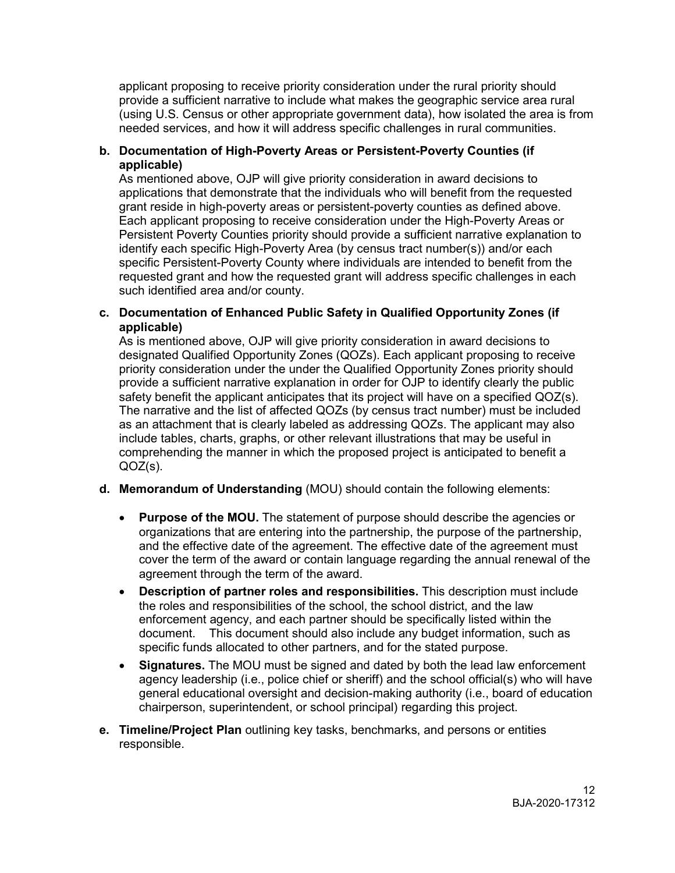(using U.S. Census or other appropriate government data), how isolated the area is from needed services, and how it will address specific challenges in rural communities. applicant proposing to receive priority consideration under the rural priority should provide a sufficient narrative to include what makes the geographic service area rural

#### **b. Documentation of High-Poverty Areas or Persistent-Poverty Counties (if applicable)**

 applications that demonstrate that the individuals who will benefit from the requested grant reside in high-poverty areas or persistent-poverty counties as defined above. specific Persistent-Poverty County where individuals are intended to benefit from the requested grant and how the requested grant will address specific challenges in each As mentioned above, OJP will give priority consideration in award decisions to Each applicant proposing to receive consideration under the High-Poverty Areas or Persistent Poverty Counties priority should provide a sufficient narrative explanation to identify each specific High-Poverty Area (by census tract number(s)) and/or each such identified area and/or county.

#### **c. Documentation of Enhanced Public Safety in Qualified Opportunity Zones (if applicable)**

 The narrative and the list of affected QOZs (by census tract number) must be included as an attachment that is clearly labeled as addressing QOZs. The applicant may also include tables, charts, graphs, or other relevant illustrations that may be useful in As is mentioned above, OJP will give priority consideration in award decisions to designated Qualified Opportunity Zones (QOZs). Each applicant proposing to receive priority consideration under the under the Qualified Opportunity Zones priority should provide a sufficient narrative explanation in order for OJP to identify clearly the public safety benefit the applicant anticipates that its project will have on a specified QOZ(s). comprehending the manner in which the proposed project is anticipated to benefit a QOZ(s).

#### **d. Memorandum of Understanding** (MOU) should contain the following elements:

- and the effective date of the agreement. The effective date of the agreement must cover the term of the award or contain language regarding the annual renewal of the • **Purpose of the MOU.** The statement of purpose should describe the agencies or organizations that are entering into the partnership, the purpose of the partnership, agreement through the term of the award.
- the roles and responsibilities of the school, the school district, and the law document. This document should also include any budget information, such as specific funds allocated to other partners, and for the stated purpose. • **Description of partner roles and responsibilities.** This description must include enforcement agency, and each partner should be specifically listed within the
- **Signatures.** The MOU must be signed and dated by both the lead law enforcement agency leadership (i.e., police chief or sheriff) and the school official(s) who will have general educational oversight and decision-making authority (i.e., board of education chairperson, superintendent, or school principal) regarding this project.
- **e. Timeline/Project Plan** outlining key tasks, benchmarks, and persons or entities responsible.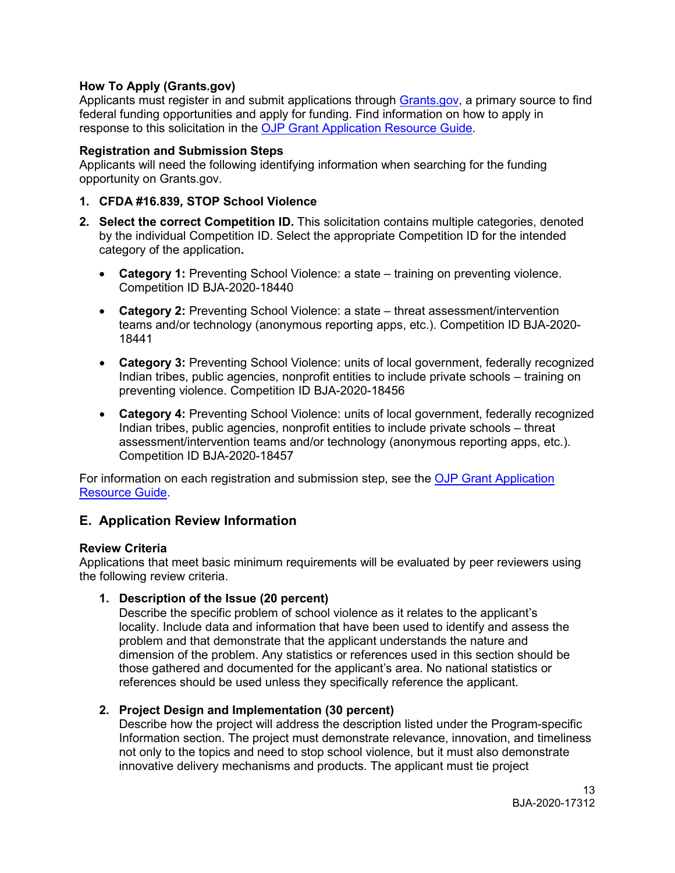#### <span id="page-12-0"></span>**How To Apply ([Grants.gov](https://Grants.gov))**

Applicants must register in and submit applications through <u>Grants.gov,</u> a primary source to find federal funding opportunities and apply for funding. Find information on how to apply in response to this solicitation in the [OJP Grant Application Resource Guide.](https://www.ojp.gov/funding/Apply/Resources/Grant-App-Resource-Guide.htm#howToApply)

#### <span id="page-12-1"></span>**Registration and Submission Steps**

Applicants will need the following identifying information when searching for the funding opportunity on [Grants.gov.](https://Grants.gov)

#### **1. CFDA #16.839***,* **STOP School Violence**

- by the individual Competition ID. Select the appropriate Competition ID for the intended **2. Select the correct Competition ID.** This solicitation contains multiple categories, denoted category of the application**.** 
	- **Category 1:** Preventing School Violence: a state training on preventing violence. Competition ID BJA-2020-18440
	- • **Category 2:** Preventing School Violence: a state threat assessment/intervention teams and/or technology (anonymous reporting apps, etc.). Competition ID BJA-2020- 18441
	- • **Category 3:** Preventing School Violence: units of local government, federally recognized Indian tribes, public agencies, nonprofit entities to include private schools – training on preventing violence. Competition ID BJA-2020-18456
	- • **Category 4:** Preventing School Violence: units of local government, federally recognized assessment/intervention teams and/or technology (anonymous reporting apps, etc.). Indian tribes, public agencies, nonprofit entities to include private schools – threat Competition ID BJA-2020-18457

For information on each registration and submission step, see the OJP Grant Application [Resource Guide.](https://www.ojp.gov/funding/Apply/Resources/Grant-App-Resource-Guide.htm#submissionSteps)

# <span id="page-12-2"></span>**E. Application Review Information**

#### <span id="page-12-3"></span>**Review Criteria**

Applications that meet basic minimum requirements will be evaluated by peer reviewers using the following review criteria.

# **1. Description of the Issue (20 percent)**

 Describe the specific problem of school violence as it relates to the applicant's references should be used unless they specifically reference the applicant. locality. Include data and information that have been used to identify and assess the problem and that demonstrate that the applicant understands the nature and dimension of the problem. Any statistics or references used in this section should be those gathered and documented for the applicant's area. No national statistics or

# **2. Project Design and Implementation (30 percent)**

 innovative delivery mechanisms and products. The applicant must tie project Describe how the project will address the description listed under the Program-specific Information section. The project must demonstrate relevance, innovation, and timeliness not only to the topics and need to stop school violence, but it must also demonstrate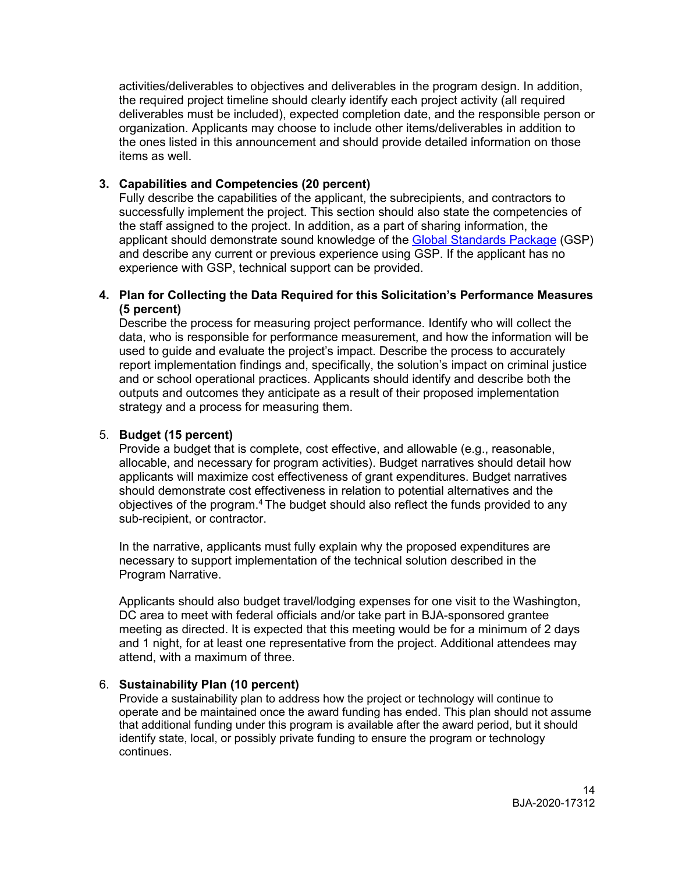activities/deliverables to objectives and deliverables in the program design. In addition, items as well. the required project timeline should clearly identify each project activity (all required deliverables must be included), expected completion date, and the responsible person or organization. Applicants may choose to include other items/deliverables in addition to the ones listed in this announcement and should provide detailed information on those

# **3. Capabilities and Competencies (20 percent)**

 Fully describe the capabilities of the applicant, the subrecipients, and contractors to successfully implement the project. This section should also state the competencies of applicant should demonstrate sound knowledge of the <u>Global Standards Package</u> (GSP) and describe any current or previous experience using GSP. If the applicant has no the staff assigned to the project. In addition, as a part of sharing information, the experience with GSP, technical support can be provided.

#### **4. Plan for Collecting the Data Required for this Solicitation's Performance Measures (5 percent)**

 Describe the process for measuring project performance. Identify who will collect the outputs and outcomes they anticipate as a result of their proposed implementation strategy and a process for measuring them. data, who is responsible for performance measurement, and how the information will be used to guide and evaluate the project's impact. Describe the process to accurately report implementation findings and, specifically, the solution's impact on criminal justice and or school operational practices. Applicants should identify and describe both the

#### 5. **Budget (15 percent)**

 Provide a budget that is complete, cost effective, and allowable (e.g., reasonable, allocable, and necessary for program activities). Budget narratives should detail how applicants will maximize cost effectiveness of grant expenditures. Budget narratives objectives of the program.<sup>4</sup> The budget should also reflect the funds provided to any should demonstrate cost effectiveness in relation to potential alternatives and the sub-recipient, or contractor.

 In the narrative, applicants must fully explain why the proposed expenditures are necessary to support implementation of the technical solution described in the Program Narrative.

 meeting as directed. It is expected that this meeting would be for a minimum of 2 days attend, with a maximum of three. Applicants should also budget travel/lodging expenses for one visit to the Washington, DC area to meet with federal officials and/or take part in BJA-sponsored grantee and 1 night, for at least one representative from the project. Additional attendees may

# attend, with a maximum of three. 6. **Sustainability Plan (10 percent)**

 that additional funding under this program is available after the award period, but it should Provide a sustainability plan to address how the project or technology will continue to operate and be maintained once the award funding has ended. This plan should not assume identify state, local, or possibly private funding to ensure the program or technology continues.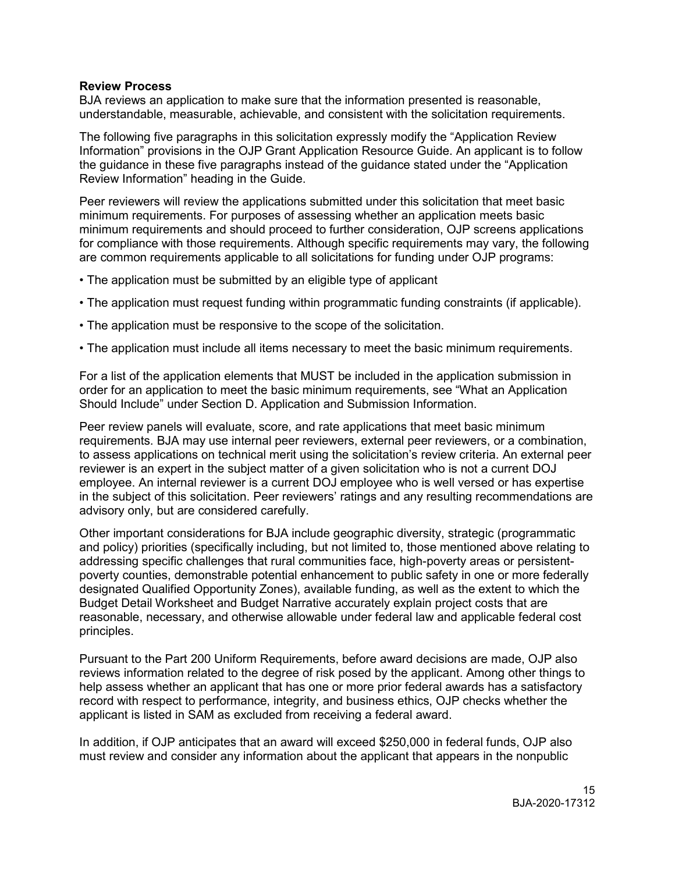#### <span id="page-14-0"></span>**Review Process**

understandable, measurable, achievable, and consistent with the solicitation requirements. BJA reviews an application to make sure that the information presented is reasonable,

understandable, measurable, achievable, and consistent with the solicitation requirements.<br>The following five paragraphs in this solicitation expressly modify the "Application Review Information" provisions in the OJP Grant Application Resource Guide. An applicant is to follow the guidance in these five paragraphs instead of the guidance stated under the "Application Review Information" heading in the Guide.

 Peer reviewers will review the applications submitted under this solicitation that meet basic are common requirements applicable to all solicitations for funding under OJP programs: minimum requirements. For purposes of assessing whether an application meets basic minimum requirements and should proceed to further consideration, OJP screens applications for compliance with those requirements. Although specific requirements may vary, the following

- The application must be submitted by an eligible type of applicant
- The application must request funding within programmatic funding constraints (if applicable).
- The application must be responsive to the scope of the solicitation.
- The application must include all items necessary to meet the basic minimum requirements.

 order for an application to meet the basic minimum requirements, see "What an Application For a list of the application elements that MUST be included in the application submission in Should Include" under Section D. Application and Submission Information.

 requirements. BJA may use internal peer reviewers, external peer reviewers, or a combination, to assess applications on technical merit using the solicitation's review criteria. An external peer reviewer is an expert in the subject matter of a given solicitation who is not a current DOJ Peer review panels will evaluate, score, and rate applications that meet basic minimum employee. An internal reviewer is a current DOJ employee who is well versed or has expertise in the subject of this solicitation. Peer reviewers' ratings and any resulting recommendations are advisory only, but are considered carefully.

Other important considerations for BJA include geographic diversity, strategic (programmatic and policy) priorities (specifically including, but not limited to, those mentioned above relating to addressing specific challenges that rural communities face, high-poverty areas or persistentpoverty counties, demonstrable potential enhancement to public safety in one or more federally designated Qualified Opportunity Zones), available funding, as well as the extent to which the Budget Detail Worksheet and Budget Narrative accurately explain project costs that are reasonable, necessary, and otherwise allowable under federal law and applicable federal cost principles.

 record with respect to performance, integrity, and business ethics, OJP checks whether the Pursuant to the Part 200 Uniform Requirements, before award decisions are made, OJP also reviews information related to the degree of risk posed by the applicant. Among other things to help assess whether an applicant that has one or more prior federal awards has a satisfactory applicant is listed in SAM as excluded from receiving a federal award.

 In addition, if OJP anticipates that an award will exceed \$250,000 in federal funds, OJP also must review and consider any information about the applicant that appears in the nonpublic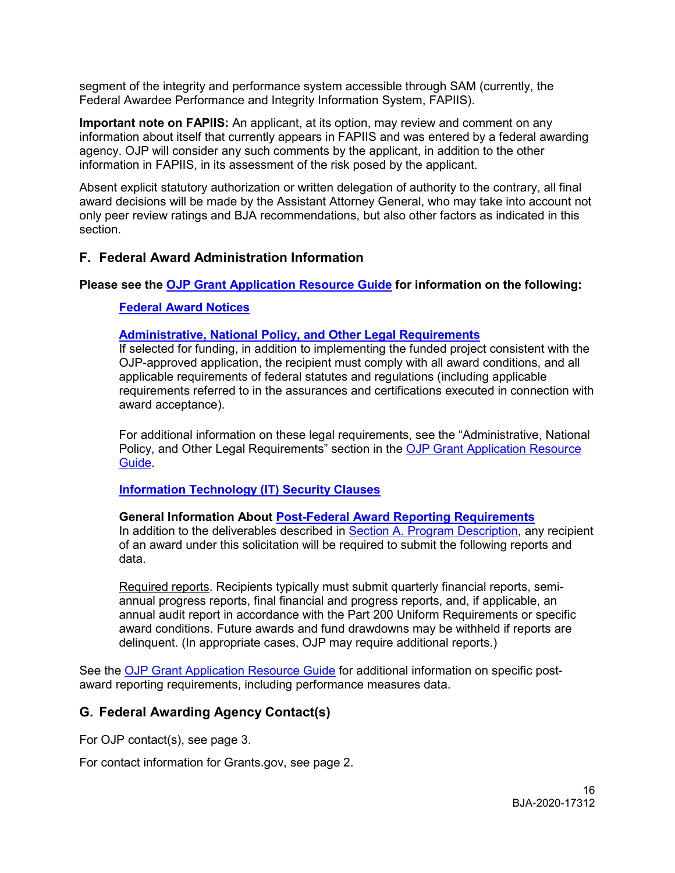segment of the integrity and performance system accessible through SAM (currently, the Federal Awardee Performance and Integrity Information System, FAPIIS).

 information about itself that currently appears in FAPIIS and was entered by a federal awarding **Important note on FAPIIS:** An applicant, at its option, may review and comment on any agency. OJP will consider any such comments by the applicant, in addition to the other information in FAPIIS, in its assessment of the risk posed by the applicant.

 Absent explicit statutory authorization or written delegation of authority to the contrary, all final award decisions will be made by the Assistant Attorney General, who may take into account not only peer review ratings and BJA recommendations, but also other factors as indicated in this section.

# <span id="page-15-0"></span>**F. Federal Award Administration Information**

#### **Please see the [OJP Grant Application Resource Guide](https://ojp.gov/funding/Apply/Resources/Grant-App-Resource-Guide.htm) for information on the following:**

#### <span id="page-15-1"></span>**[Federal Award Notices](https://www.ojp.gov/funding/Apply/Resources/Grant-App-Resource-Guide.htm#awardNotices)**

#### <span id="page-15-2"></span>**[Administrative, National Policy, and Other Legal Requirements](https://www.ojp.gov/funding/Apply/Resources/Grant-App-Resource-Guide.htm#otherLegalRequirements)**

 If selected for funding, in addition to implementing the funded project consistent with the applicable requirements of federal statutes and regulations (including applicable OJP-approved application, the recipient must comply with all award conditions, and all requirements referred to in the assurances and certifications executed in connection with award acceptance).

 For additional information on these legal requirements, see the "Administrative, National Policy, and Other Legal Requirements" section in the OJP Grant Application Resource [Guide.](https://www.ojp.gov/funding/Apply/Resources/Grant-App-Resource-Guide.htm)

#### <span id="page-15-3"></span>**Information Technology (IT) Security Clauses**

#### <span id="page-15-4"></span>**[Information Technology \(IT\) Security Clauses](https://www.ojp.gov/funding/Apply/Resources/Grant-App-Resource-Guide.htm#securityClauses) General Information About [Post-Federal Award Reporting Requirements](https://www.ojp.gov/funding/Apply/Resources/Grant-App-Resource-Guide.htm#awardReportingRequirements)**

In addition to the deliverables described in [Section A. Program Description,](#page-4-1) any recipient of an award under this solicitation will be required to submit the following reports and data.

 delinquent. (In appropriate cases, OJP may require additional reports.) Required reports. Recipients typically must submit quarterly financial reports, semiannual progress reports, final financial and progress reports, and, if applicable, an annual audit report in accordance with the Part 200 Uniform Requirements or specific award conditions. Future awards and fund drawdowns may be withheld if reports are

See the [OJP Grant Application Resource Guide](https://www.ojp.gov/funding/Apply/Resources/Grant-App-Resource-Guide.htm#awardReportingRequirements) for additional information on specific postaward reporting requirements, including performance measures data.

# <span id="page-15-5"></span>**G. Federal Awarding Agency Contact(s)**

For OJP contact(s), see page 3.

For contact information for [Grants.gov](https://Grants.gov), see page 2.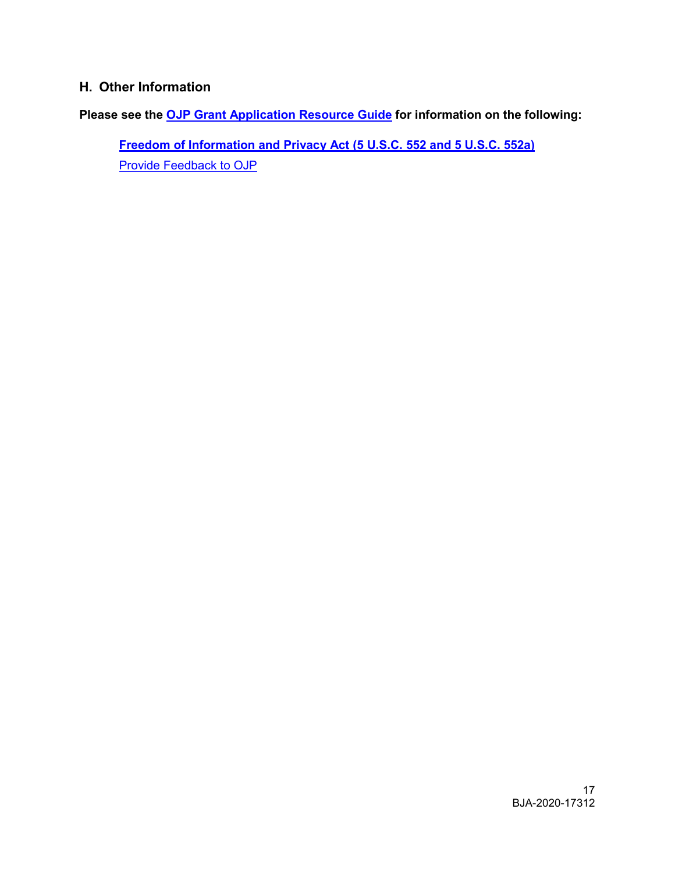# <span id="page-16-0"></span>**H. Other Information**

**Please see the [OJP Grant Application Resource Guide](https://ojp.gov/funding/Apply/Resources/Grant-App-Resource-Guide.htm) for information on the following:** 

<span id="page-16-1"></span>**[Freedom of Information and Privacy Act \(5 U.S.C. 552 and 5 U.S.C. 552a\)](https://www.ojp.gov/funding/Apply/Resources/Grant-App-Resource-Guide.htm#foia)**  [Provide Feedback to OJP](https://www.ojp.gov/funding/Apply/Resources/Grant-App-Resource-Guide.htm#feedback)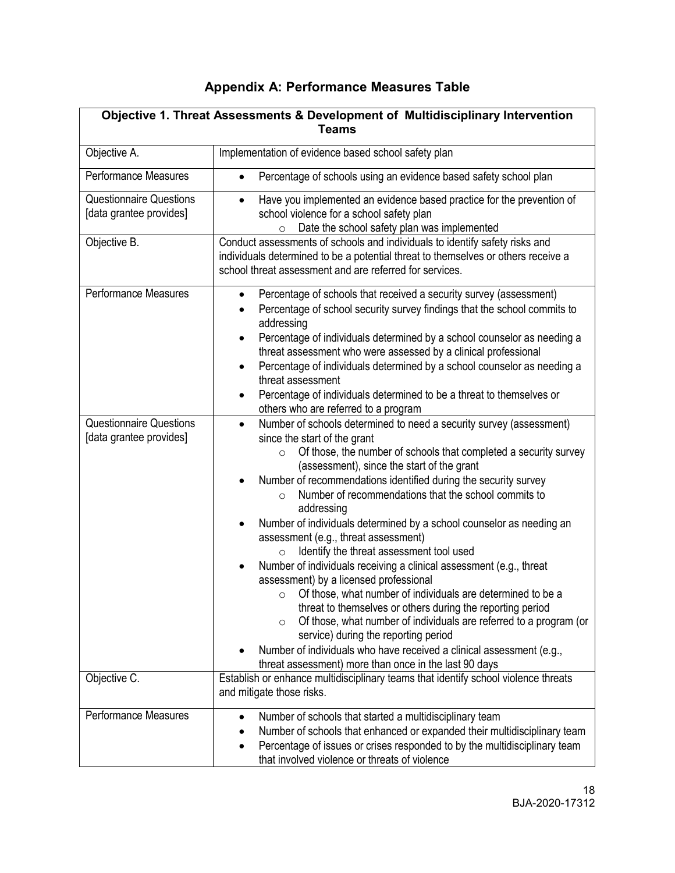# **Appendix A: Performance Measures Table**

<span id="page-17-0"></span>

| Objective 1. Threat Assessments & Development of Multidisciplinary Intervention<br><b>Teams</b> |                                                                                                                                                                                                                                                                                                                                                                                                                                                                                                                                                                                                                                                                                                                                                                                                                                                                                                                                                                                                                                                                                       |  |  |
|-------------------------------------------------------------------------------------------------|---------------------------------------------------------------------------------------------------------------------------------------------------------------------------------------------------------------------------------------------------------------------------------------------------------------------------------------------------------------------------------------------------------------------------------------------------------------------------------------------------------------------------------------------------------------------------------------------------------------------------------------------------------------------------------------------------------------------------------------------------------------------------------------------------------------------------------------------------------------------------------------------------------------------------------------------------------------------------------------------------------------------------------------------------------------------------------------|--|--|
| Objective A.                                                                                    | Implementation of evidence based school safety plan                                                                                                                                                                                                                                                                                                                                                                                                                                                                                                                                                                                                                                                                                                                                                                                                                                                                                                                                                                                                                                   |  |  |
| Performance Measures                                                                            | Percentage of schools using an evidence based safety school plan<br>$\bullet$                                                                                                                                                                                                                                                                                                                                                                                                                                                                                                                                                                                                                                                                                                                                                                                                                                                                                                                                                                                                         |  |  |
| <b>Questionnaire Questions</b><br>[data grantee provides]                                       | Have you implemented an evidence based practice for the prevention of<br>$\bullet$<br>school violence for a school safety plan<br>Date the school safety plan was implemented<br>$\circ$                                                                                                                                                                                                                                                                                                                                                                                                                                                                                                                                                                                                                                                                                                                                                                                                                                                                                              |  |  |
| Objective B.                                                                                    | Conduct assessments of schools and individuals to identify safety risks and<br>individuals determined to be a potential threat to themselves or others receive a<br>school threat assessment and are referred for services.                                                                                                                                                                                                                                                                                                                                                                                                                                                                                                                                                                                                                                                                                                                                                                                                                                                           |  |  |
| Performance Measures                                                                            | Percentage of schools that received a security survey (assessment)<br>$\bullet$<br>Percentage of school security survey findings that the school commits to<br>addressing<br>Percentage of individuals determined by a school counselor as needing a<br>٠<br>threat assessment who were assessed by a clinical professional<br>Percentage of individuals determined by a school counselor as needing a<br>$\bullet$<br>threat assessment<br>Percentage of individuals determined to be a threat to themselves or<br>others who are referred to a program                                                                                                                                                                                                                                                                                                                                                                                                                                                                                                                              |  |  |
| <b>Questionnaire Questions</b><br>[data grantee provides]                                       | Number of schools determined to need a security survey (assessment)<br>$\bullet$<br>since the start of the grant<br>Of those, the number of schools that completed a security survey<br>$\circ$<br>(assessment), since the start of the grant<br>Number of recommendations identified during the security survey<br>Number of recommendations that the school commits to<br>$\circ$<br>addressing<br>Number of individuals determined by a school counselor as needing an<br>assessment (e.g., threat assessment)<br>Identify the threat assessment tool used<br>$\circ$<br>Number of individuals receiving a clinical assessment (e.g., threat<br>assessment) by a licensed professional<br>Of those, what number of individuals are determined to be a<br>O<br>threat to themselves or others during the reporting period<br>Of those, what number of individuals are referred to a program (or<br>$\circ$<br>service) during the reporting period<br>Number of individuals who have received a clinical assessment (e.g.,<br>threat assessment) more than once in the last 90 days |  |  |
| Objective C.                                                                                    | Establish or enhance multidisciplinary teams that identify school violence threats<br>and mitigate those risks.                                                                                                                                                                                                                                                                                                                                                                                                                                                                                                                                                                                                                                                                                                                                                                                                                                                                                                                                                                       |  |  |
| Performance Measures                                                                            | Number of schools that started a multidisciplinary team<br>$\bullet$<br>Number of schools that enhanced or expanded their multidisciplinary team<br>٠<br>Percentage of issues or crises responded to by the multidisciplinary team<br>$\bullet$<br>that involved violence or threats of violence                                                                                                                                                                                                                                                                                                                                                                                                                                                                                                                                                                                                                                                                                                                                                                                      |  |  |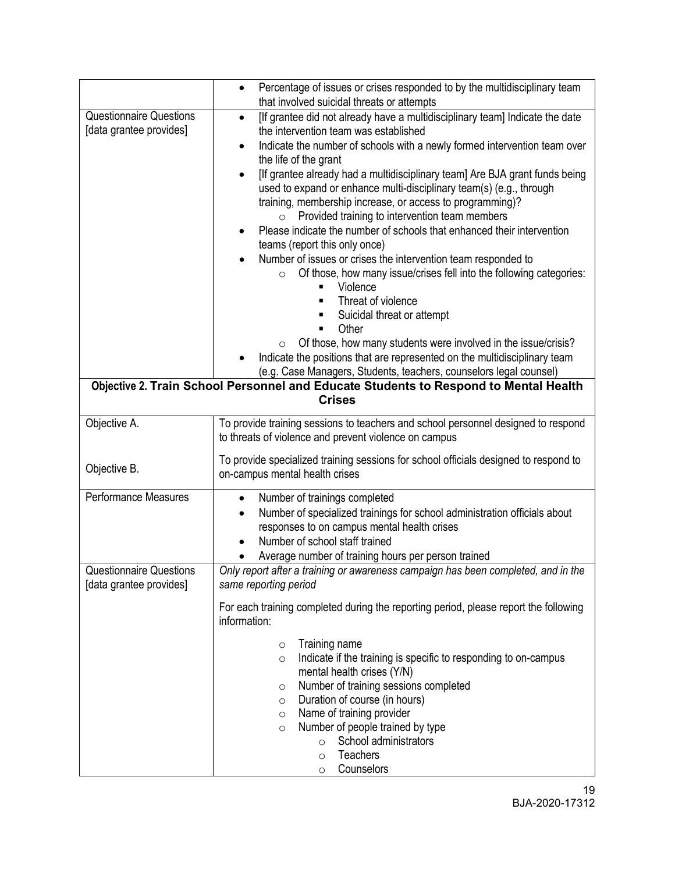|                                                           | Percentage of issues or crises responded to by the multidisciplinary team<br>$\bullet$                                                                                                                                                                                                                                                                                                                                                                                                                                                                                                                                                                                                                                                                                                                                                                                                                                                                                                                                                                                                                                                                                                                                 |  |  |
|-----------------------------------------------------------|------------------------------------------------------------------------------------------------------------------------------------------------------------------------------------------------------------------------------------------------------------------------------------------------------------------------------------------------------------------------------------------------------------------------------------------------------------------------------------------------------------------------------------------------------------------------------------------------------------------------------------------------------------------------------------------------------------------------------------------------------------------------------------------------------------------------------------------------------------------------------------------------------------------------------------------------------------------------------------------------------------------------------------------------------------------------------------------------------------------------------------------------------------------------------------------------------------------------|--|--|
|                                                           | that involved suicidal threats or attempts                                                                                                                                                                                                                                                                                                                                                                                                                                                                                                                                                                                                                                                                                                                                                                                                                                                                                                                                                                                                                                                                                                                                                                             |  |  |
| <b>Questionnaire Questions</b><br>[data grantee provides] | [If grantee did not already have a multidisciplinary team] Indicate the date<br>$\bullet$<br>the intervention team was established<br>Indicate the number of schools with a newly formed intervention team over<br>$\bullet$<br>the life of the grant<br>[If grantee already had a multidisciplinary team] Are BJA grant funds being<br>$\bullet$<br>used to expand or enhance multi-disciplinary team(s) (e.g., through<br>training, membership increase, or access to programming)?<br>Provided training to intervention team members<br>$\circ$<br>Please indicate the number of schools that enhanced their intervention<br>٠<br>teams (report this only once)<br>Number of issues or crises the intervention team responded to<br>Of those, how many issue/crises fell into the following categories:<br>$\circ$<br>Violence<br>Threat of violence<br>Suicidal threat or attempt<br>Other<br>Of those, how many students were involved in the issue/crisis?<br>$\circ$<br>Indicate the positions that are represented on the multidisciplinary team<br>(e.g. Case Managers, Students, teachers, counselors legal counsel)<br>Objective 2. Train School Personnel and Educate Students to Respond to Mental Health |  |  |
|                                                           | <b>Crises</b>                                                                                                                                                                                                                                                                                                                                                                                                                                                                                                                                                                                                                                                                                                                                                                                                                                                                                                                                                                                                                                                                                                                                                                                                          |  |  |
| Objective A.                                              | To provide training sessions to teachers and school personnel designed to respond<br>to threats of violence and prevent violence on campus                                                                                                                                                                                                                                                                                                                                                                                                                                                                                                                                                                                                                                                                                                                                                                                                                                                                                                                                                                                                                                                                             |  |  |
| Objective B.                                              | To provide specialized training sessions for school officials designed to respond to<br>on-campus mental health crises                                                                                                                                                                                                                                                                                                                                                                                                                                                                                                                                                                                                                                                                                                                                                                                                                                                                                                                                                                                                                                                                                                 |  |  |
| <b>Performance Measures</b>                               | Number of trainings completed<br>$\bullet$<br>Number of specialized trainings for school administration officials about<br>$\bullet$<br>responses to on campus mental health crises<br>Number of school staff trained<br>Average number of training hours per person trained                                                                                                                                                                                                                                                                                                                                                                                                                                                                                                                                                                                                                                                                                                                                                                                                                                                                                                                                           |  |  |
| <b>Questionnaire Questions</b><br>[data grantee provides] | Only report after a training or awareness campaign has been completed, and in the<br>same reporting period                                                                                                                                                                                                                                                                                                                                                                                                                                                                                                                                                                                                                                                                                                                                                                                                                                                                                                                                                                                                                                                                                                             |  |  |
|                                                           | For each training completed during the reporting period, please report the following<br>information:                                                                                                                                                                                                                                                                                                                                                                                                                                                                                                                                                                                                                                                                                                                                                                                                                                                                                                                                                                                                                                                                                                                   |  |  |
|                                                           | Training name<br>$\circ$<br>Indicate if the training is specific to responding to on-campus<br>$\circ$<br>mental health crises (Y/N)<br>Number of training sessions completed<br>O<br>Duration of course (in hours)<br>$\circ$<br>Name of training provider<br>$\circ$<br>Number of people trained by type<br>$\circ$<br>School administrators<br>$\circ$<br>Teachers<br>$\circ$<br>Counselors<br>$\circ$                                                                                                                                                                                                                                                                                                                                                                                                                                                                                                                                                                                                                                                                                                                                                                                                              |  |  |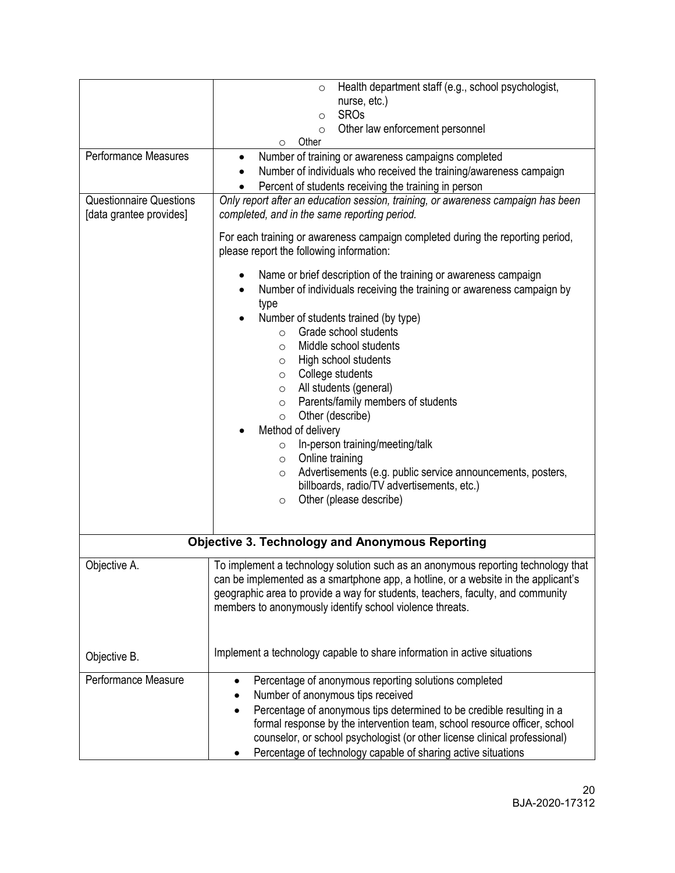|                                | Health department staff (e.g., school psychologist,<br>$\circ$<br>nurse, etc.)                                                                                                                                                                                                                                         |  |  |
|--------------------------------|------------------------------------------------------------------------------------------------------------------------------------------------------------------------------------------------------------------------------------------------------------------------------------------------------------------------|--|--|
|                                | <b>SROs</b><br>$\circ$                                                                                                                                                                                                                                                                                                 |  |  |
|                                | Other law enforcement personnel<br>$\circ$                                                                                                                                                                                                                                                                             |  |  |
| Performance Measures           | Other<br>O                                                                                                                                                                                                                                                                                                             |  |  |
|                                | Number of training or awareness campaigns completed<br>$\bullet$                                                                                                                                                                                                                                                       |  |  |
|                                | Number of individuals who received the training/awareness campaign                                                                                                                                                                                                                                                     |  |  |
| <b>Questionnaire Questions</b> | Percent of students receiving the training in person                                                                                                                                                                                                                                                                   |  |  |
| [data grantee provides]        | Only report after an education session, training, or awareness campaign has been<br>completed, and in the same reporting period.                                                                                                                                                                                       |  |  |
|                                | For each training or awareness campaign completed during the reporting period,<br>please report the following information:                                                                                                                                                                                             |  |  |
|                                | Name or brief description of the training or awareness campaign                                                                                                                                                                                                                                                        |  |  |
|                                | Number of individuals receiving the training or awareness campaign by<br>$\bullet$<br>type                                                                                                                                                                                                                             |  |  |
|                                | Number of students trained (by type)<br>$\bullet$                                                                                                                                                                                                                                                                      |  |  |
|                                | Grade school students<br>$\circ$                                                                                                                                                                                                                                                                                       |  |  |
|                                | Middle school students<br>$\circ$                                                                                                                                                                                                                                                                                      |  |  |
|                                | High school students<br>$\circ$                                                                                                                                                                                                                                                                                        |  |  |
|                                | College students<br>$\circ$                                                                                                                                                                                                                                                                                            |  |  |
|                                | All students (general)<br>$\circ$                                                                                                                                                                                                                                                                                      |  |  |
|                                | Parents/family members of students<br>$\circ$                                                                                                                                                                                                                                                                          |  |  |
|                                | Other (describe)<br>$\circ$                                                                                                                                                                                                                                                                                            |  |  |
|                                | Method of delivery                                                                                                                                                                                                                                                                                                     |  |  |
|                                | In-person training/meeting/talk<br>$\circ$                                                                                                                                                                                                                                                                             |  |  |
|                                | Online training<br>$\circ$                                                                                                                                                                                                                                                                                             |  |  |
|                                | Advertisements (e.g. public service announcements, posters,<br>$\circ$                                                                                                                                                                                                                                                 |  |  |
|                                | billboards, radio/TV advertisements, etc.)                                                                                                                                                                                                                                                                             |  |  |
|                                | Other (please describe)<br>$\circ$                                                                                                                                                                                                                                                                                     |  |  |
|                                |                                                                                                                                                                                                                                                                                                                        |  |  |
|                                | <b>Objective 3. Technology and Anonymous Reporting</b>                                                                                                                                                                                                                                                                 |  |  |
|                                |                                                                                                                                                                                                                                                                                                                        |  |  |
| Objective A.                   | To implement a technology solution such as an anonymous reporting technology that<br>can be implemented as a smartphone app, a hotline, or a website in the applicant's<br>geographic area to provide a way for students, teachers, faculty, and community<br>members to anonymously identify school violence threats. |  |  |
|                                |                                                                                                                                                                                                                                                                                                                        |  |  |
| Objective B.                   | Implement a technology capable to share information in active situations                                                                                                                                                                                                                                               |  |  |
| Performance Measure            | Percentage of anonymous reporting solutions completed                                                                                                                                                                                                                                                                  |  |  |
|                                | Number of anonymous tips received                                                                                                                                                                                                                                                                                      |  |  |
|                                | Percentage of anonymous tips determined to be credible resulting in a<br>formal response by the intervention team, school resource officer, school<br>counselor, or school psychologist (or other license clinical professional)<br>Percentage of technology capable of sharing active situations                      |  |  |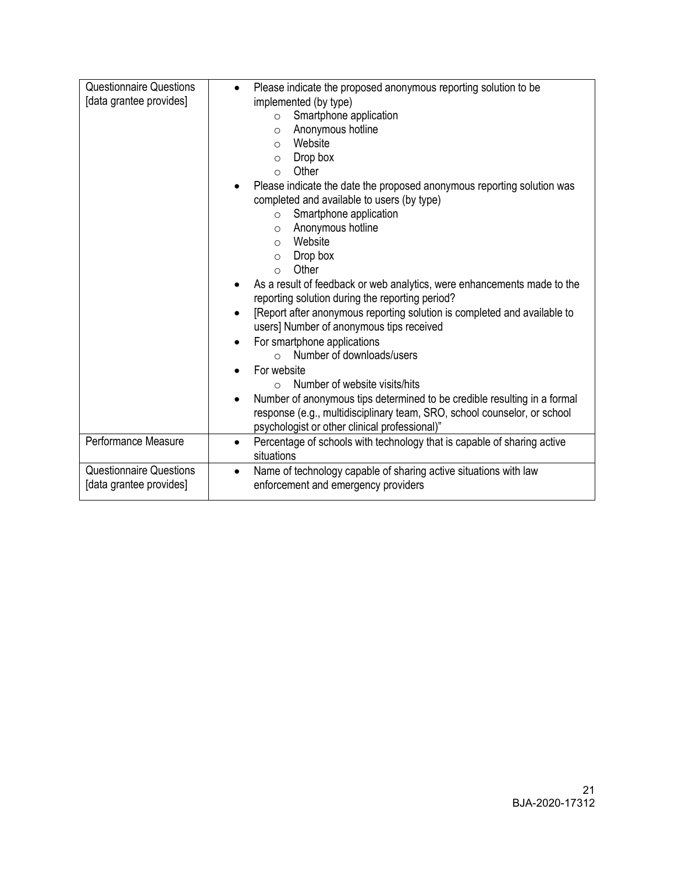| <b>Questionnaire Questions</b><br>[data grantee provides] | Please indicate the proposed anonymous reporting solution to be<br>$\bullet$<br>implemented (by type)<br>Smartphone application<br>$\circ$<br>Anonymous hotline<br>$\circ$<br>Website<br>$\circ$<br>Drop box<br>$\circ$<br>Other<br>$\circ$                                                                                                                                                                                                                                                    |
|-----------------------------------------------------------|------------------------------------------------------------------------------------------------------------------------------------------------------------------------------------------------------------------------------------------------------------------------------------------------------------------------------------------------------------------------------------------------------------------------------------------------------------------------------------------------|
|                                                           | Please indicate the date the proposed anonymous reporting solution was<br>completed and available to users (by type)<br>Smartphone application<br>$\circ$<br>Anonymous hotline<br>$\circ$<br>Website<br>$\circ$<br>Drop box<br>$\circ$<br>Other<br>$\circ$                                                                                                                                                                                                                                     |
|                                                           | As a result of feedback or web analytics, were enhancements made to the<br>reporting solution during the reporting period?<br>[Report after anonymous reporting solution is completed and available to<br>$\bullet$<br>users] Number of anonymous tips received<br>For smartphone applications<br>Number of downloads/users<br>$\bigcap$<br>For website<br>Number of website visits/hits<br>$\bigcap$<br>Number of anonymous tips determined to be credible resulting in a formal<br>$\bullet$ |
|                                                           | response (e.g., multidisciplinary team, SRO, school counselor, or school<br>psychologist or other clinical professional)"                                                                                                                                                                                                                                                                                                                                                                      |
| Performance Measure                                       | Percentage of schools with technology that is capable of sharing active<br>$\bullet$<br>situations                                                                                                                                                                                                                                                                                                                                                                                             |
| <b>Questionnaire Questions</b><br>[data grantee provides] | Name of technology capable of sharing active situations with law<br>$\bullet$<br>enforcement and emergency providers                                                                                                                                                                                                                                                                                                                                                                           |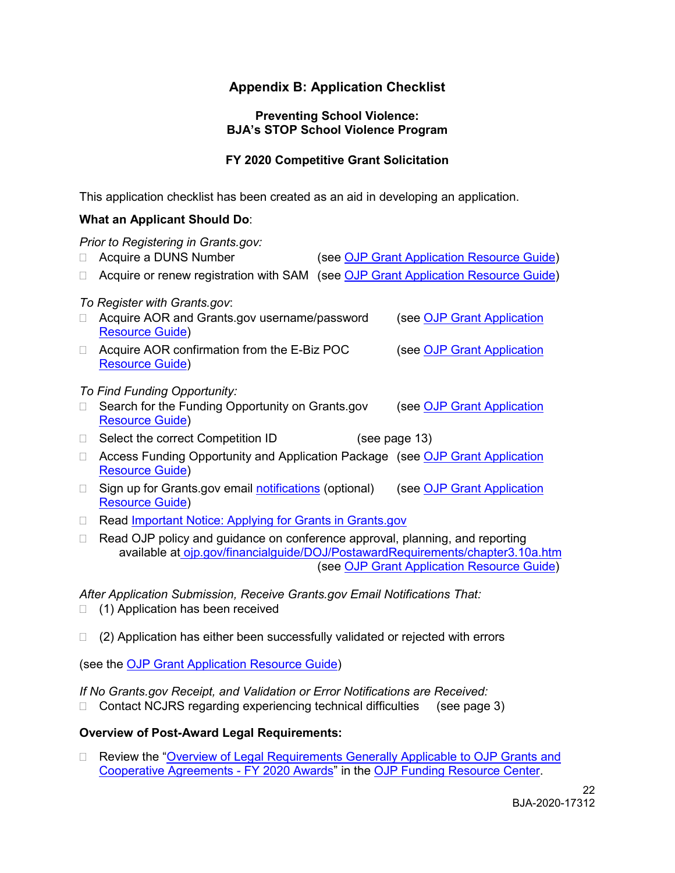# **Appendix B: Application Checklist**

#### **Preventing School Violence: BJA's STOP School Violence Program**

#### **FY 2020 Competitive Grant Solicitation**

<span id="page-21-0"></span>This application checklist has been created as an aid in developing an application.

#### **What an Applicant Should Do**:

| Prior to Registering in Grants.gov: |                                                                                                                                                                |  |                                            |  |
|-------------------------------------|----------------------------------------------------------------------------------------------------------------------------------------------------------------|--|--------------------------------------------|--|
|                                     | Acquire a DUNS Number                                                                                                                                          |  | (see OJP Grant Application Resource Guide) |  |
|                                     | Acquire or renew registration with SAM (see OJP Grant Application Resource Guide)                                                                              |  |                                            |  |
|                                     | To Register with Grants.gov:                                                                                                                                   |  |                                            |  |
|                                     | Acquire AOR and Grants.gov username/password<br><b>Resource Guide)</b>                                                                                         |  | (see OJP Grant Application                 |  |
| П                                   | Acquire AOR confirmation from the E-Biz POC<br><b>Resource Guide)</b>                                                                                          |  | (see OJP Grant Application                 |  |
|                                     | To Find Funding Opportunity:                                                                                                                                   |  |                                            |  |
|                                     | Search for the Funding Opportunity on Grants.gov<br><b>Resource Guide)</b>                                                                                     |  | (see OJP Grant Application                 |  |
| $\Box$                              | Select the correct Competition ID                                                                                                                              |  | (see page 13)                              |  |
| □                                   | Access Funding Opportunity and Application Package (see OJP Grant Application<br><b>Resource Guide)</b>                                                        |  |                                            |  |
| П                                   | Sign up for Grants.gov email notifications (optional)<br><b>Resource Guide)</b>                                                                                |  | (see OJP Grant Application                 |  |
| П                                   | Read Important Notice: Applying for Grants in Grants.gov                                                                                                       |  |                                            |  |
| П                                   | Read OJP policy and guidance on conference approval, planning, and reporting<br>available at oip.gov/financialguide/DOJ/PostawardReguirements/chapter3.10a.htm |  |                                            |  |

(see [OJP Grant Application Resource Guide\)](https://www.ojp.gov/funding/Apply/Resources/Grant-App-Resource-Guide.htm#reportingCosts)

*After Application Submission, Receive [Grants.gov](https://Grants.gov) Email Notifications That:* 

- $\Box$  (1) Application has been received
- $\Box$  (2) Application has either been successfully validated or rejected with errors

(see the [OJP Grant Application Resource Guide\)](https://www.ojp.gov/funding/Apply/Resources/Grant-App-Resource-Guide.htm#submissionSteps)

*If No [Grants.gov](https://Grants.gov) Receipt, and Validation or Error Notifications are Received:* 

□ Contact NCJRS regarding experiencing technical difficulties (see page 3)

#### **Overview of Post-Award Legal Requirements:**

□ Review the "Overview of Legal Requirements Generally Applicable to OJP Grants and [Cooperative Agreements -](https://www.ojp.gov/funding/Explore/LegalOverview2020/index.htm) FY 2020 Awards" in the [OJP Funding Resource Center.](https://www.ojp.gov/funding/index.htm)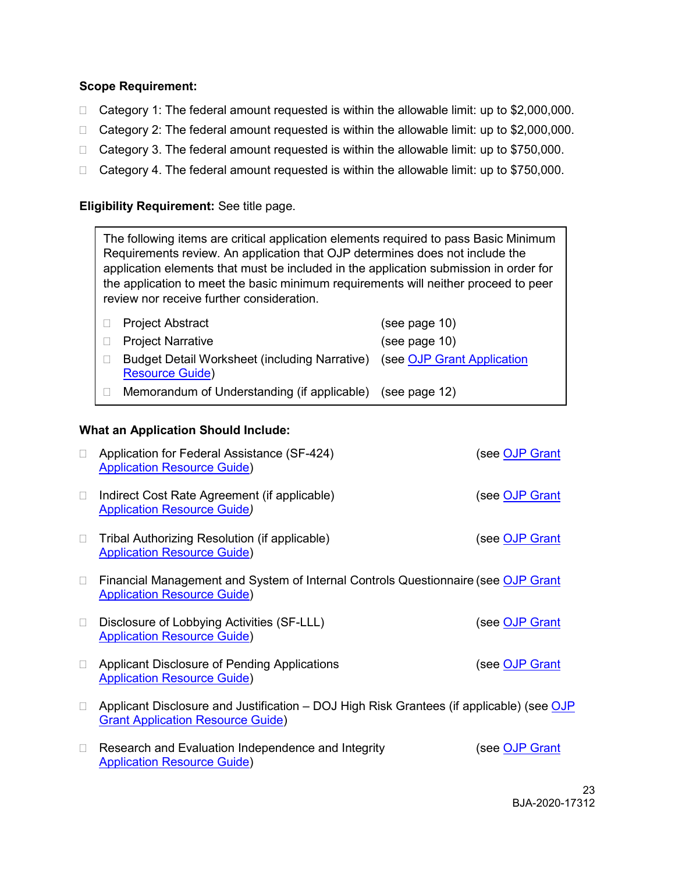#### **Scope Requirement:**

- $\Box$  Category 1: The federal amount requested is within the allowable limit: up to \$2,000,000.
- $\Box$  Category 2: The federal amount requested is within the allowable limit: up to \$2,000,000.
- □ Category 3. The federal amount requested is within the allowable limit: up to \$750,000.
- $\Box$  Category 4. The federal amount requested is within the allowable limit: up to \$750,000.

#### **Eligibility Requirement:** See title page.

 application elements that must be included in the application submission in order for The following items are critical application elements required to pass Basic Minimum Requirements review. An application that OJP determines does not include the the application to meet the basic minimum requirements will neither proceed to peer review nor receive further consideration.

| □ Project Abstract                                                                                 | (see page 10) |
|----------------------------------------------------------------------------------------------------|---------------|
| □ Project Narrative                                                                                | (see page 10) |
| Budget Detail Worksheet (including Narrative) (see OJP Grant Application<br><b>Resource Guide)</b> |               |
| Memorandum of Understanding (if applicable)                                                        | (see page 12) |

#### **What an Application Should Include:**

| П      | Application for Federal Assistance (SF-424)<br><b>Application Resource Guide)</b>                                                    | (see OJP Grant |
|--------|--------------------------------------------------------------------------------------------------------------------------------------|----------------|
| $\Box$ | Indirect Cost Rate Agreement (if applicable)<br><b>Application Resource Guide)</b>                                                   | (see OJP Grant |
| $\Box$ | Tribal Authorizing Resolution (if applicable)<br><b>Application Resource Guide)</b>                                                  | (see OJP Grant |
| $\Box$ | Financial Management and System of Internal Controls Questionnaire (see OJP Grant<br><b>Application Resource Guide)</b>              |                |
| □      | Disclosure of Lobbying Activities (SF-LLL)<br><b>Application Resource Guide)</b>                                                     | (see OJP Grant |
| $\Box$ | Applicant Disclosure of Pending Applications<br><b>Application Resource Guide)</b>                                                   | (see OJP Grant |
| $\Box$ | Applicant Disclosure and Justification - DOJ High Risk Grantees (if applicable) (see OJP<br><b>Grant Application Resource Guide)</b> |                |
| $\Box$ | Research and Evaluation Independence and Integrity<br><b>Application Resource Guide)</b>                                             | (see OJP Grant |